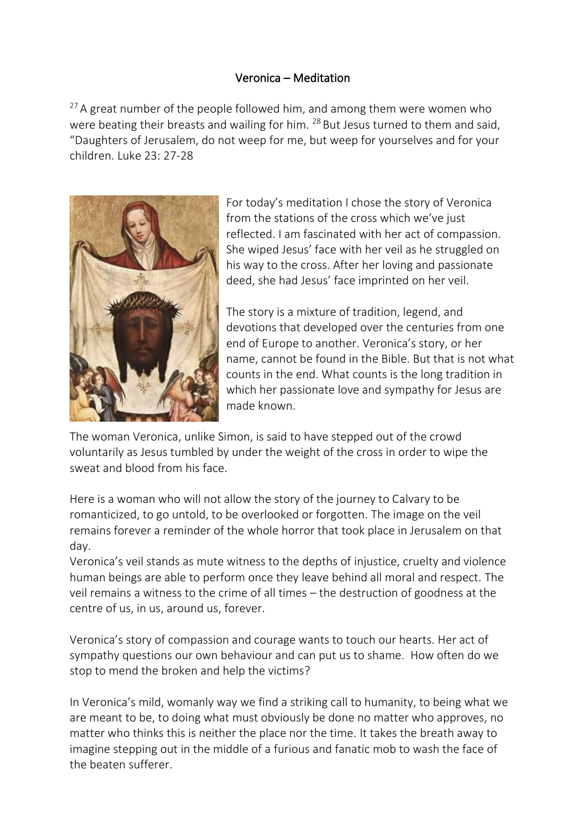## Veronica – Meditation

 $27$  A great number of the people followed him, and among them were women who were beating their breasts and wailing for him. <sup>28</sup> But Jesus turned to them and said, "Daughters of Jerusalem, do not weep for me, but weep for yourselves and for your children. Luke 23: 27-28



For today's meditation I chose the story of Veronica from the stations of the cross which we've just reflected. I am fascinated with her act of compassion. She wiped Jesus' face with her veil as he struggled on his way to the cross. After her loving and passionate deed, she had Jesus' face imprinted on her veil.

The story is a mixture of tradition, legend, and devotions that developed over the centuries from one end of Europe to another. Veronica's story, or her name, cannot be found in the Bible. But that is not what counts in the end. What counts is the long tradition in which her passionate love and sympathy for Jesus are made known.

The woman Veronica, unlike Simon, is said to have stepped out of the crowd voluntarily as Jesus tumbled by under the weight of the cross in order to wipe the sweat and blood from his face.

Here is a woman who will not allow the story of the journey to Calvary to be romanticized, to go untold, to be overlooked or forgotten. The image on the veil remains forever a reminder of the whole horror that took place in Jerusalem on that day.

Veronica's veil stands as mute witness to the depths of injustice, cruelty and violence human beings are able to perform once they leave behind all moral and respect. The veil remains a witness to the crime of all times – the destruction of goodness at the centre of us, in us, around us, forever.

Veronica's story of compassion and courage wants to touch our hearts. Her act of sympathy questions our own behaviour and can put us to shame. How often do we stop to mend the broken and help the victims?

In Veronica's mild, womanly way we find a striking call to humanity, to being what we are meant to be, to doing what must obviously be done no matter who approves, no matter who thinks this is neither the place nor the time. It takes the breath away to imagine stepping out in the middle of a furious and fanatic mob to wash the face of the beaten sufferer.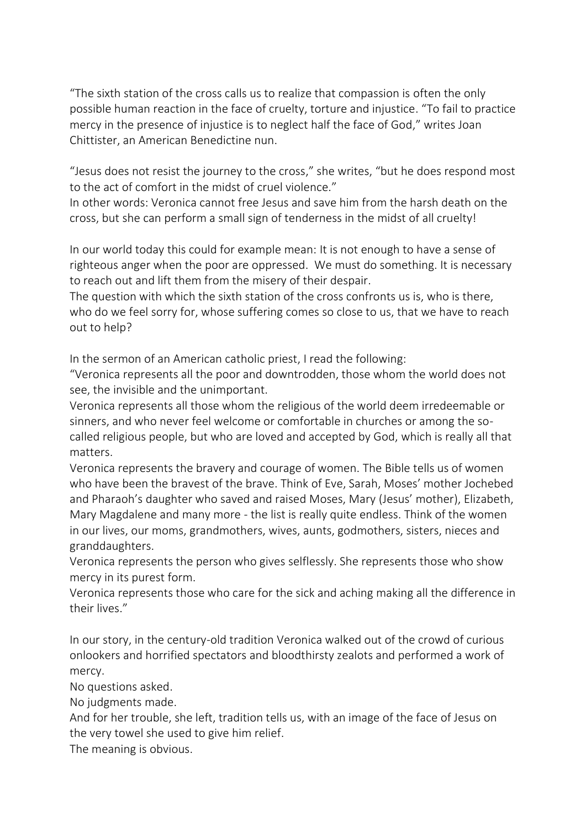"The sixth station of the cross calls us to realize that compassion is often the only possible human reaction in the face of cruelty, torture and injustice. "To fail to practice mercy in the presence of injustice is to neglect half the face of God," writes Joan Chittister, an American Benedictine nun.

"Jesus does not resist the journey to the cross," she writes, "but he does respond most to the act of comfort in the midst of cruel violence."

In other words: Veronica cannot free Jesus and save him from the harsh death on the cross, but she can perform a small sign of tenderness in the midst of all cruelty!

In our world today this could for example mean: It is not enough to have a sense of righteous anger when the poor are oppressed. We must do something. It is necessary to reach out and lift them from the misery of their despair.

The question with which the sixth station of the cross confronts us is, who is there, who do we feel sorry for, whose suffering comes so close to us, that we have to reach out to help?

In the sermon of an American catholic priest, I read the following:

"Veronica represents all the poor and downtrodden, those whom the world does not see, the invisible and the unimportant.

Veronica represents all those whom the religious of the world deem irredeemable or sinners, and who never feel welcome or comfortable in churches or among the socalled religious people, but who are loved and accepted by God, which is really all that matters.

Veronica represents the bravery and courage of women. The Bible tells us of women who have been the bravest of the brave. Think of Eve, Sarah, Moses' mother Jochebed and Pharaoh's daughter who saved and raised Moses, Mary (Jesus' mother), Elizabeth, Mary Magdalene and many more - the list is really quite endless. Think of the women in our lives, our moms, grandmothers, wives, aunts, godmothers, sisters, nieces and granddaughters.

Veronica represents the person who gives selflessly. She represents those who show mercy in its purest form.

Veronica represents those who care for the sick and aching making all the difference in their lives."

In our story, in the century-old tradition Veronica walked out of the crowd of curious onlookers and horrified spectators and bloodthirsty zealots and performed a work of mercy.

No questions asked.

No judgments made.

And for her trouble, she left, tradition tells us, with an image of the face of Jesus on the very towel she used to give him relief.

The meaning is obvious.